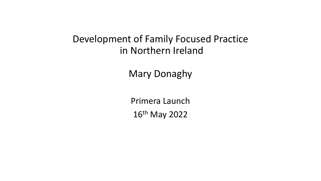## Development of Family Focused Practice in Northern Ireland

Mary Donaghy

Primera Launch 16th May 2022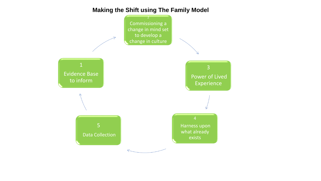## **Making the Shift using The Family Model**

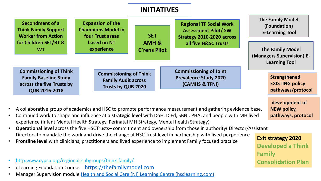

- A collaborative group of academics and HSC to promote performance measurement and gathering evidence base.
- Continued work to shape and influence at a **strategic level** with DoH, D.Ed, SBNI, PHA, and people with MH lived experience (Infant Mental Health Strategy, Perinatal MH Strategy, Mental health Strategy)
- **Operational level** across the five HSCTrusts– commitment and ownership from those in authority( Director/Assistant Directors to mandate the work and drive the change at HSC Trust level in partnership with lived pexperience
- **Frontline level** with clinicians, practitioners and lived experience to implement Family focused practice
- http:www.cypsp.org/regional-subgroups/think-family/
- eLearning Foundation Course [https://thefamilymodel.com](https://thefamilymodel.com/)
- Manager Supervision module [Health and Social Care \(NI\) Learning Centre \(hsclearning.com\)](https://www.hsclearning.com/)

**Exit strategy 2020 Developed a Think Family Consolidation Plan**

**NEW policy,** 

**pathways, protocol**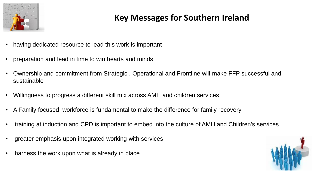

## **Key Messages for Southern Ireland**

- having dedicated resource to lead this work is important
- preparation and lead in time to win hearts and minds!
- Ownership and commitment from Strategic , Operational and Frontline will make FFP successful and sustainable
- Willingness to progress a different skill mix across AMH and children services
- A Family focused workforce is fundamental to make the difference for family recovery
- training at induction and CPD is important to embed into the culture of AMH and Children's services
- greater emphasis upon integrated working with services
- harness the work upon what is already in place